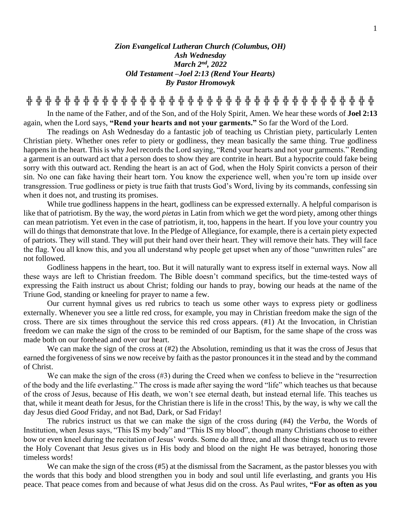## *Zion Evangelical Lutheran Church (Columbus, OH) Ash Wednesday March 2nd , 2022 Old Testament –Joel 2:13 (Rend Your Hearts) By Pastor Hromowyk*

**╬ ╬ ╬ ╬ ╬ ╬ ╬ ╬ ╬ ╬ ╬ ╬ ╬ ╬ ╬ ╬ ╬ ╬ ╬ ╬ ╬ ╬ ╬ ╬ ╬ ╬ ╬ ╬ ╬ ╬ ╬ ╬ ╬ ╬ ╬ ╬ ╬**

In the name of the Father, and of the Son, and of the Holy Spirit, Amen. We hear these words of **Joel 2:13** again, when the Lord says, **"Rend your hearts and not your garments."** So far the Word of the Lord.

The readings on Ash Wednesday do a fantastic job of teaching us Christian piety, particularly Lenten Christian piety. Whether ones refer to piety or godliness, they mean basically the same thing. True godliness happens in the heart. This is why Joel records the Lord saying, "Rend your hearts and not your garments." Rending a garment is an outward act that a person does to show they are contrite in heart. But a hypocrite could fake being sorry with this outward act. Rending the heart is an act of God, when the Holy Spirit convicts a person of their sin. No one can fake having their heart torn. You know the experience well, when you're torn up inside over transgression. True godliness or piety is true faith that trusts God's Word, living by its commands, confessing sin when it does not, and trusting its promises.

While true godliness happens in the heart, godliness can be expressed externally. A helpful comparison is like that of patriotism. By the way, the word *pietas* in Latin from which we get the word piety, among other things can mean patriotism. Yet even in the case of patriotism, it, too, happens in the heart. If you love your country you will do things that demonstrate that love. In the Pledge of Allegiance, for example, there is a certain piety expected of patriots. They will stand. They will put their hand over their heart. They will remove their hats. They will face the flag. You all know this, and you all understand why people get upset when any of those "unwritten rules" are not followed.

Godliness happens in the heart, too. But it will naturally want to express itself in external ways. Now all these ways are left to Christian freedom. The Bible doesn't command specifics, but the time-tested ways of expressing the Faith instruct us about Christ; folding our hands to pray, bowing our heads at the name of the Triune God, standing or kneeling for prayer to name a few.

Our current hymnal gives us red rubrics to teach us some other ways to express piety or godliness externally. Whenever you see a little red cross, for example, you may in Christian freedom make the sign of the cross. There are six times throughout the service this red cross appears. (#1) At the Invocation, in Christian freedom we can make the sign of the cross to be reminded of our Baptism, for the same shape of the cross was made both on our forehead and over our heart.

We can make the sign of the cross at  $(\#2)$  the Absolution, reminding us that it was the cross of Jesus that earned the forgiveness of sins we now receive by faith as the pastor pronounces it in the stead and by the command of Christ.

We can make the sign of the cross (#3) during the Creed when we confess to believe in the "resurrection" of the body and the life everlasting." The cross is made after saying the word "life" which teaches us that because of the cross of Jesus, because of His death, we won't see eternal death, but instead eternal life. This teaches us that, while it meant death for Jesus, for the Christian there is life in the cross! This, by the way, is why we call the day Jesus died *Good* Friday, and not Bad, Dark, or Sad Friday!

The rubrics instruct us that we can make the sign of the cross during (#4) the *Verba*, the Words of Institution, when Jesus says, "This IS my body" and "This IS my blood", though many Christians choose to either bow or even kneel during the recitation of Jesus' words. Some do all three, and all those things teach us to revere the Holy Covenant that Jesus gives us in His body and blood on the night He was betrayed, honoring those timeless words!

We can make the sign of the cross (#5) at the dismissal from the Sacrament, as the pastor blesses you with the words that this body and blood strengthen you in body and soul until life everlasting, and grants you His peace. That peace comes from and because of what Jesus did on the cross. As Paul writes, **"For as often as you**